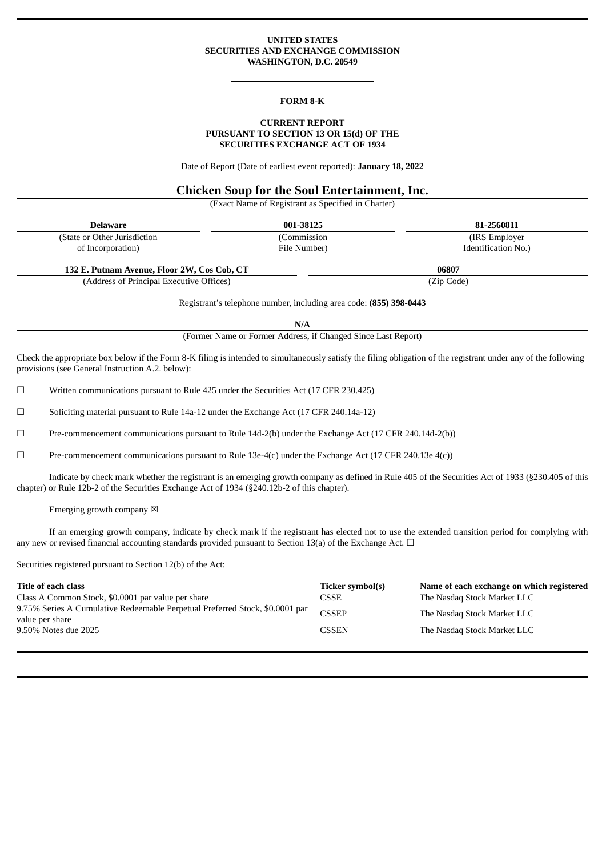### **UNITED STATES SECURITIES AND EXCHANGE COMMISSION WASHINGTON, D.C. 20549**

#### **FORM 8-K**

#### **CURRENT REPORT PURSUANT TO SECTION 13 OR 15(d) OF THE SECURITIES EXCHANGE ACT OF 1934**

Date of Report (Date of earliest event reported): **January 18, 2022**

# **Chicken Soup for the Soul Entertainment, Inc.**

(Exact Name of Registrant as Specified in Charter)

| Delaware                                    | 001-38125    | 81-2560811          |  |
|---------------------------------------------|--------------|---------------------|--|
| (State or Other Jurisdiction)               | (Commission  | (IRS Employer)      |  |
| of Incorporation)                           | File Number) | Identification No.) |  |
| 132 E. Putnam Avenue, Floor 2W, Cos Cob, CT |              | 06807               |  |
| (Address of Principal Executive Offices)    |              | (Zip Code)          |  |

Registrant's telephone number, including area code: **(855) 398-0443**

**N/A**

(Former Name or Former Address, if Changed Since Last Report)

Check the appropriate box below if the Form 8-K filing is intended to simultaneously satisfy the filing obligation of the registrant under any of the following provisions (see General Instruction A.2. below):

☐ Written communications pursuant to Rule 425 under the Securities Act (17 CFR 230.425)

☐ Soliciting material pursuant to Rule 14a-12 under the Exchange Act (17 CFR 240.14a-12)

☐ Pre-commencement communications pursuant to Rule 14d-2(b) under the Exchange Act (17 CFR 240.14d-2(b))

☐ Pre-commencement communications pursuant to Rule 13e-4(c) under the Exchange Act (17 CFR 240.13e 4(c))

Indicate by check mark whether the registrant is an emerging growth company as defined in Rule 405 of the Securities Act of 1933 (§230.405 of this chapter) or Rule 12b-2 of the Securities Exchange Act of 1934 (§240.12b-2 of this chapter).

Emerging growth company  $\boxtimes$ 

If an emerging growth company, indicate by check mark if the registrant has elected not to use the extended transition period for complying with any new or revised financial accounting standards provided pursuant to Section 13(a) of the Exchange Act.  $\Box$ 

Securities registered pursuant to Section 12(b) of the Act:

| Title of each class                                                                             | Ticker symbol(s) | Name of each exchange on which registered |
|-------------------------------------------------------------------------------------------------|------------------|-------------------------------------------|
| Class A Common Stock, \$0.0001 par value per share                                              | CSSE             | The Nasdaq Stock Market LLC               |
| 9.75% Series A Cumulative Redeemable Perpetual Preferred Stock, \$0.0001 par<br>value per share | <b>CSSEP</b>     | The Nasdag Stock Market LLC               |
| 9.50% Notes due 2025                                                                            | <b>CSSEN</b>     | The Nasdag Stock Market LLC               |
|                                                                                                 |                  |                                           |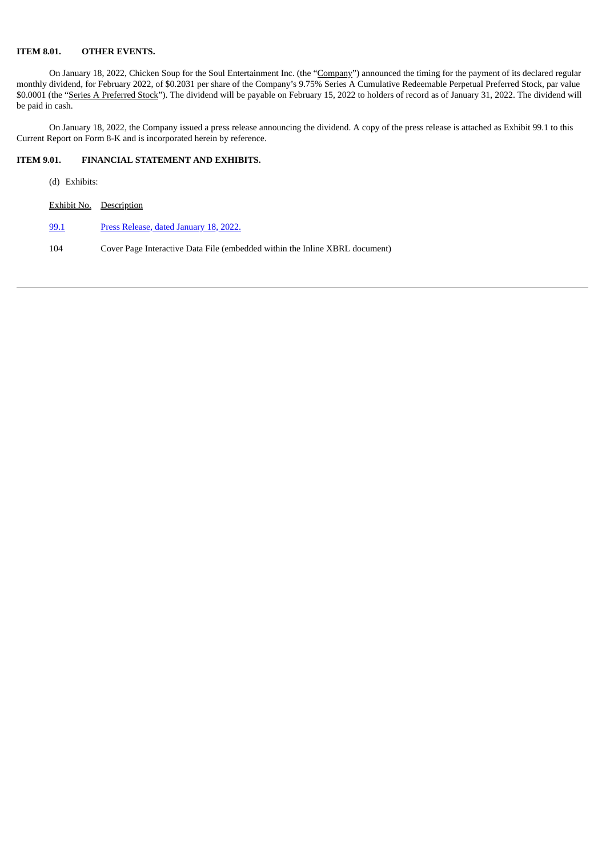## **ITEM 8.01. OTHER EVENTS.**

On January 18, 2022, Chicken Soup for the Soul Entertainment Inc. (the "Company") announced the timing for the payment of its declared regular monthly dividend, for February 2022, of \$0.2031 per share of the Company's 9.75% Series A Cumulative Redeemable Perpetual Preferred Stock, par value \$0.0001 (the "Series A Preferred Stock"). The dividend will be payable on February 15, 2022 to holders of record as of January 31, 2022. The dividend will be paid in cash.

On January 18, 2022, the Company issued a press release announcing the dividend. A copy of the press release is attached as Exhibit 99.1 to this Current Report on Form 8-K and is incorporated herein by reference.

## **ITEM 9.01. FINANCIAL STATEMENT AND EXHIBITS.**

| Exhibits:<br>(d) |                                                                             |  |
|------------------|-----------------------------------------------------------------------------|--|
| Exhibit No.      | Description                                                                 |  |
| 99.1             | Press Release, dated January 18, 2022.                                      |  |
| 104              | Cover Page Interactive Data File (embedded within the Inline XBRL document) |  |
|                  |                                                                             |  |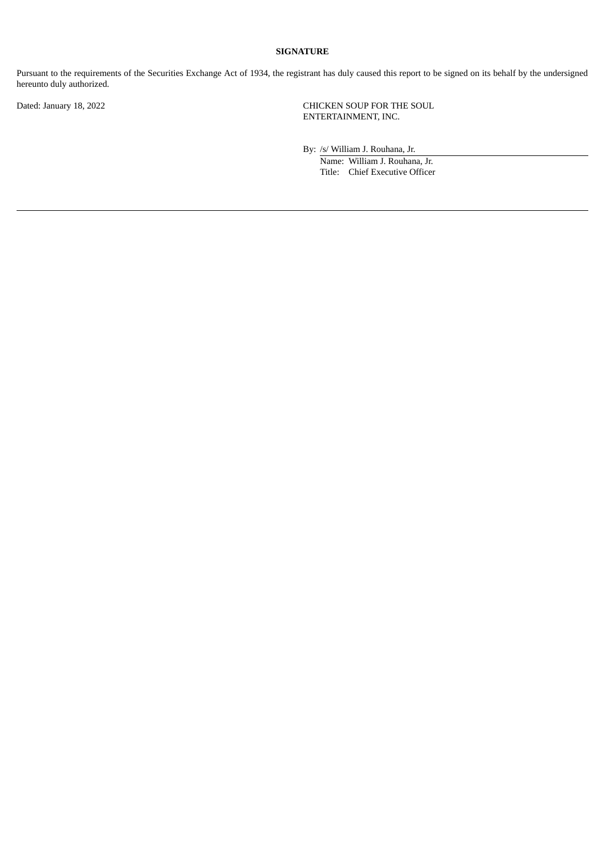# **SIGNATURE**

Pursuant to the requirements of the Securities Exchange Act of 1934, the registrant has duly caused this report to be signed on its behalf by the undersigned hereunto duly authorized.

Dated: January 18, 2022 CHICKEN SOUP FOR THE SOUL ENTERTAINMENT, INC.

By: /s/ William J. Rouhana, Jr.

Name: William J. Rouhana, Jr. Title: Chief Executive Officer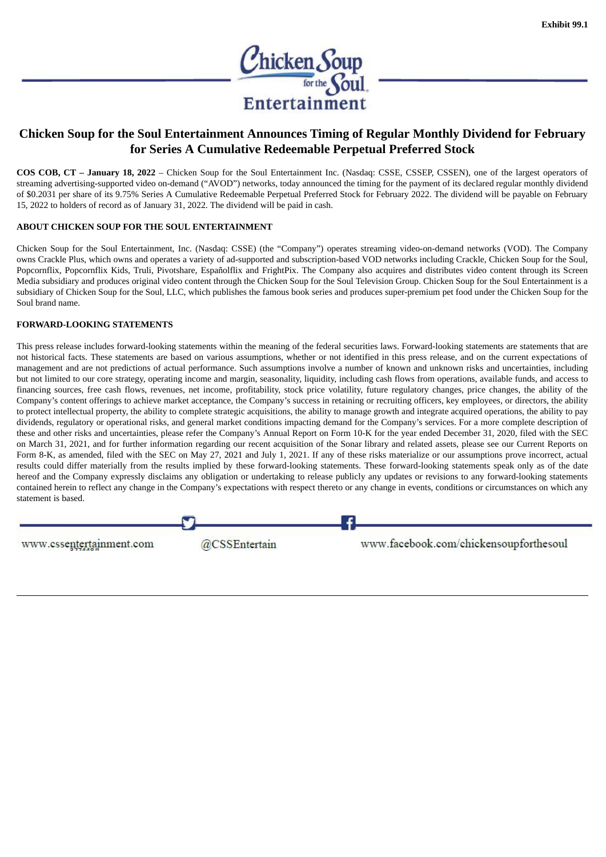

# <span id="page-3-0"></span>**Chicken Soup for the Soul Entertainment Announces Timing of Regular Monthly Dividend for February for Series A Cumulative Redeemable Perpetual Preferred Stock**

**COS COB, CT – January 18, 2022** – Chicken Soup for the Soul Entertainment Inc. (Nasdaq: CSSE, CSSEP, CSSEN), one of the largest operators of streaming advertising-supported video on-demand ("AVOD") networks, today announced the timing for the payment of its declared regular monthly dividend of \$0.2031 per share of its 9.75% Series A Cumulative Redeemable Perpetual Preferred Stock for February 2022. The dividend will be payable on February 15, 2022 to holders of record as of January 31, 2022. The dividend will be paid in cash.

#### **ABOUT CHICKEN SOUP FOR THE SOUL ENTERTAINMENT**

Chicken Soup for the Soul Entertainment, Inc. (Nasdaq: CSSE) (the "Company") operates streaming video-on-demand networks (VOD). The Company owns Crackle Plus, which owns and operates a variety of ad-supported and subscription-based VOD networks including Crackle, Chicken Soup for the Soul, Popcornflix, Popcornflix Kids, Truli, Pivotshare, Españolflix and FrightPix. The Company also acquires and distributes video content through its Screen Media subsidiary and produces original video content through the Chicken Soup for the Soul Television Group. Chicken Soup for the Soul Entertainment is a subsidiary of Chicken Soup for the Soul, LLC, which publishes the famous book series and produces super-premium pet food under the Chicken Soup for the Soul brand name.

#### **FORWARD-LOOKING STATEMENTS**

This press release includes forward-looking statements within the meaning of the federal securities laws. Forward-looking statements are statements that are not historical facts. These statements are based on various assumptions, whether or not identified in this press release, and on the current expectations of management and are not predictions of actual performance. Such assumptions involve a number of known and unknown risks and uncertainties, including but not limited to our core strategy, operating income and margin, seasonality, liquidity, including cash flows from operations, available funds, and access to financing sources, free cash flows, revenues, net income, profitability, stock price volatility, future regulatory changes, price changes, the ability of the Company's content offerings to achieve market acceptance, the Company's success in retaining or recruiting officers, key employees, or directors, the ability to protect intellectual property, the ability to complete strategic acquisitions, the ability to manage growth and integrate acquired operations, the ability to pay dividends, regulatory or operational risks, and general market conditions impacting demand for the Company's services. For a more complete description of these and other risks and uncertainties, please refer the Company's Annual Report on Form 10-K for the year ended December 31, 2020, filed with the SEC on March 31, 2021, and for further information regarding our recent acquisition of the Sonar library and related assets, please see our Current Reports on Form 8-K, as amended, filed with the SEC on May 27, 2021 and July 1, 2021. If any of these risks materialize or our assumptions prove incorrect, actual results could differ materially from the results implied by these forward-looking statements. These forward-looking statements speak only as of the date hereof and the Company expressly disclaims any obligation or undertaking to release publicly any updates or revisions to any forward-looking statements contained herein to reflect any change in the Company's expectations with respect thereto or any change in events, conditions or circumstances on which any statement is based.

www.cssentertainment.com @CSSEntertain

www.facebook.com/chickensoupforthesoul